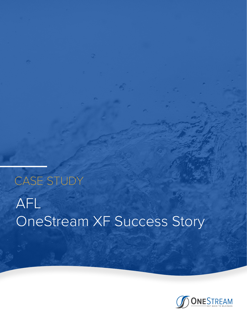# AFL OneStream XF Success Story CASE STUDY

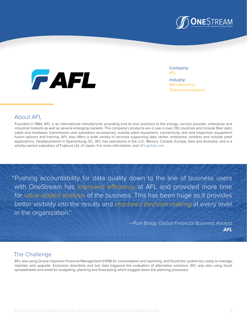



Company: AFL Industry: Manufacturing **Telecommunications** 

## About AFL

Founded in 1984, AFL is an international manufacturer providing end-to-end solutions to the energy, service provider, enterprise and industrial markets as well as several emerging markets. The company's products are in use in over 130 countries and include fiber optic cable and hardware, transmission and substation accessories, outside plant equipment, connectivity, test and inspection equipment, fusion splicers and training. AFL also offers a wide variety of services supporting data center, enterprise, wireless and outside plant applications. Headquartered in Spartanburg, SC, AFL has operations in the U.S., Mexico, Canada, Europe, Asia and Australia, and is a wholly-owned subsidiary of Fujikura Ltd. of Japan. For more information, visit [AFLglobal.com.](http://www.AFLglobal.com)

"Pushing accountability for data quality down to the line of business users with OneStream has improved efficiency at AFL and provided more time for value-added analysis of the business. This has been huge as it provides better visibility into the results and improved decision-making at every level in the organization."

> *—Pam Brady, Global Financial Business Analyst* **AFL**

## The Challenge

AFL was using Oracle Hyperion Financial Management (HFM) for consolidation and reporting, and found the system too costly to manage, maintain and upgrade. Excessive downtime and lost data triggered the evaluation of alternative solutions. AFL was also using Excel spreadsheets and email for budgeting, planning and forecasting which bogged down the planning processes.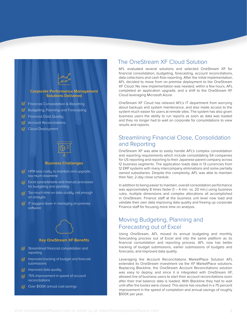

#### **Key OneStream XF Benefits**

- $\mathcal G$  Streamlined financial consolidation and reporting
- $\sigma$  Improved tracking of budget and forecast submissions
- $\heartsuit$  Improved data quality
- $\sqrt{75\%}$  improvement in speed of account reconciliations
- $\oslash$  Over \$100K annual cost savings

### The OneStream XF Cloud Solution

AFL evaluated several solutions and selected OneStream XF for financial consolidation, budgeting, forecasting, account reconciliations, data collections and cash flow reporting. After the initial implementation, AFL decided to move from on-premise deployment to the OneStream XF Cloud. No new implementation was needed, within a few hours, AFL completed an application upgrade, and a shift to the OneStream XF Cloud leveraging Microsoft Azure.

OneStream XF Cloud has relieved AFL's IT department from worrying about backups and system maintenance, and also made access to the system much easier for users at remote sites. The system has also given business users the ability to run reports as soon as data was loaded and they no longer had to wait on corporate for consolidations to view results and reports.

## Streamlining Financial Close, Consolidation and Reporting

OneStream XF was able to easily handle AFL's complex consolidation and reporting requirements which include consolidating 54 companies for US reporting and reporting to their Japanese parent company across 12 business segments. The application loads data in 13 currencies from 12 ERP systems with many intercompany eliminations and some partially owned subsidiaries. Despite this complexity, AFL was able to maintain their fast, 2-day close schedule.

In addition to being easier to maintain, overall consolidation performance was approximately 8 times faster  $(1 - 4 \text{ min. vs. } 20 \text{ min.})$  using business rules, multiple dimensions and complex allocations all accomplished in OneStream. Finance staff at the business unit level now load and validate their own data improving data quality and freeing up corporate Finance staff for focusing more time on analysis.

## Moving Budgeting, Planning and Forecasting out of Excel

Using OneStream, AFL moved its annual budgeting and monthly forecasting process out of Excel and into the same platform as its financial consolidation and reporting process. AFL now has better tracking of budget submissions, earlier submissions of budgets and forecasts, and improved data quality.

Leveraging the Account Reconciliations MarketPlace Solution AFL extended its OneStream investment via the XF MarketPlace solutions. Replacing Blackline, the OneStream Account Reconciliations solution was easy to deploy, and since it is integrated with OneStream XF, allowed line of business users to start their account reconciliations soon after their trial balance data is loaded. With Blackline they had to wait until after the books were closed. This alone has resulted in a 75 percent improvement in the speed of completion and annual savings of roughly \$100K per year.